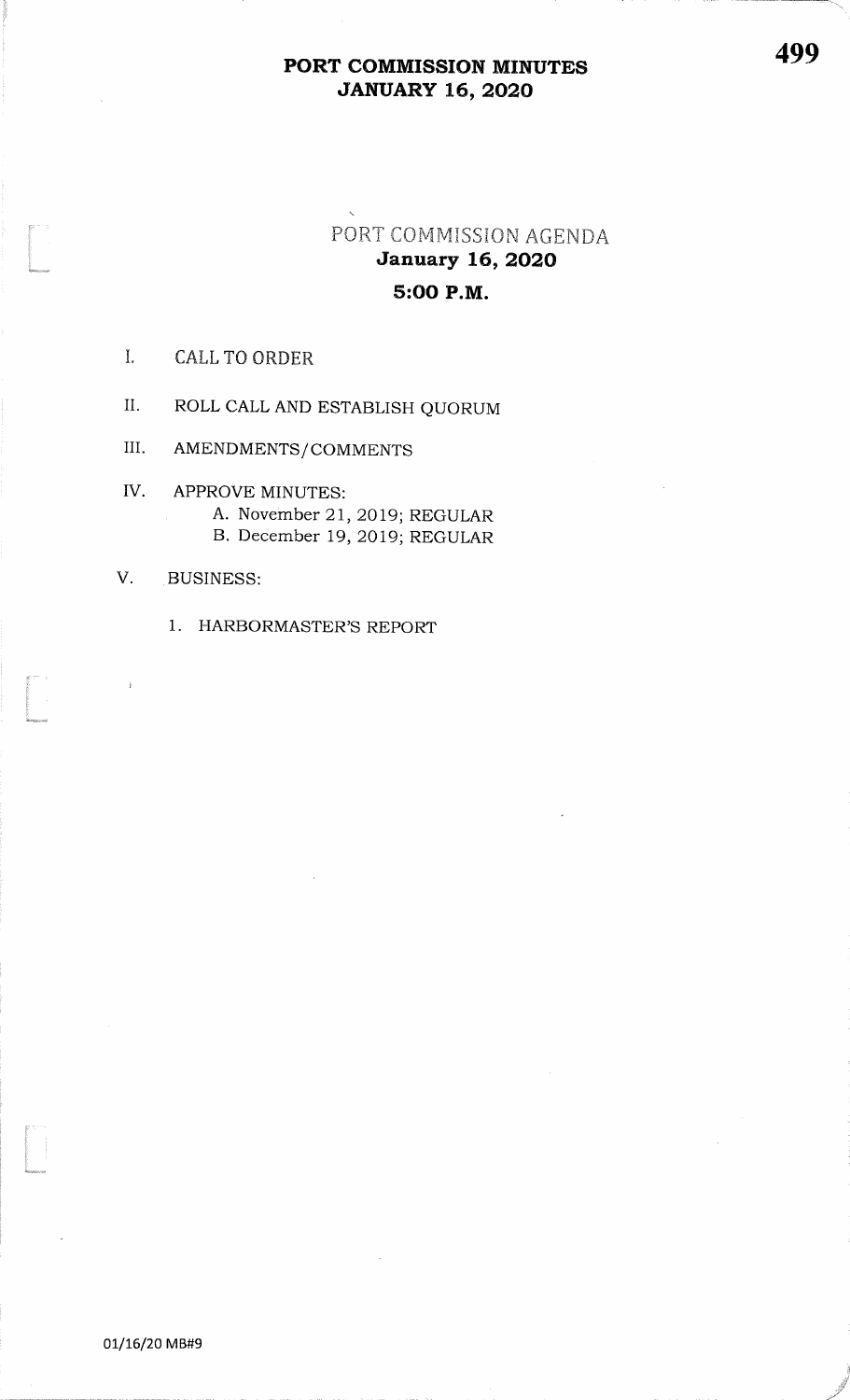## PORT COMMISSION MINUTES**JANUARY 16, 2020**

# PORT COMMISSION AGENDA<br>January 16, 2020 5:OO P.M.

### I. CALL TO ORDER

.<br>...<br>Ikla

t<br>Company<br>Company

i<br>.<br>Watunci

II. ROLL CALL AND ESTABLISH QUORUM

III. AMENDMENTS/COMMENTS

APPROVE MINUTES: A. November 2I,2019; REGULARB. December 19, 2019; REGULAR IV

#### V. BUSINESS:

1. HARBORMASTER'S REPORT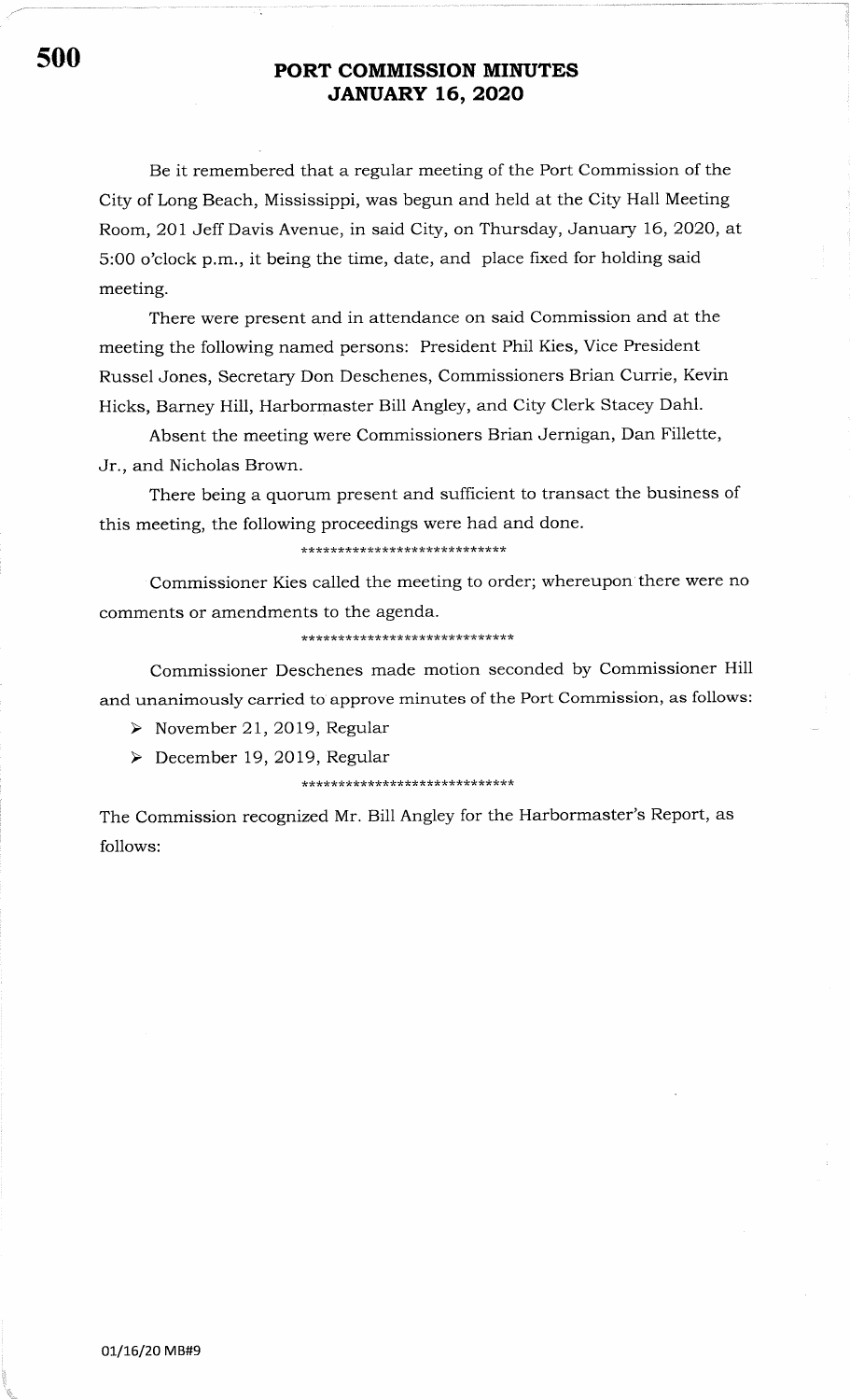## s00 PORT COMMISSION MINUTES JANUARY L6,2O2O

Be it remembered that a regular meeting of the Port Commission of the City of Long Beach, Mississippi, was begun and held at the City Hall Meeting Room, 201 Jeff Davis Avenue, in said City, on Thursday, January 16,2O2O, at 5:OO o'clock p.m., it being the time, date, and place fixed for holding said meeting.

There were present and in attendance on said Commission and at the meeting the following named persons: President Phil Kies, Vice President Russel Jones, Secretary Don Deschenes, Commissioners Brian Currie, Kevin Hicks, Barney Hill, Harbormaster Bill Angley, and City Clerk Stacey Dahl.

Absent the meeting were Commissioners Brian Jernigan, Dan Fillette, Jr., and Nicholas Brown.

There being a quorum present and sufficient to transact the business of this meeting, the following proceedings were had and done.

\*\*\*\*\*\*\*\*\*\* ,(rr\*

Commissioner Kies called the meeting to order; whereupon there were no comments or amendments to the agenda.

\*\*\*\*\*

Commissioner Deschenes made motion seconded by Commissioner Hill and unanimously carried to approve minutes of the Port Commission, as follows:

 $\triangleright$  November 21, 2019, Regular

 $\triangleright$  December 19, 2019, Regular

The Commission recognized Mr. Bill Angley for the Harbormaster's Report, as follows: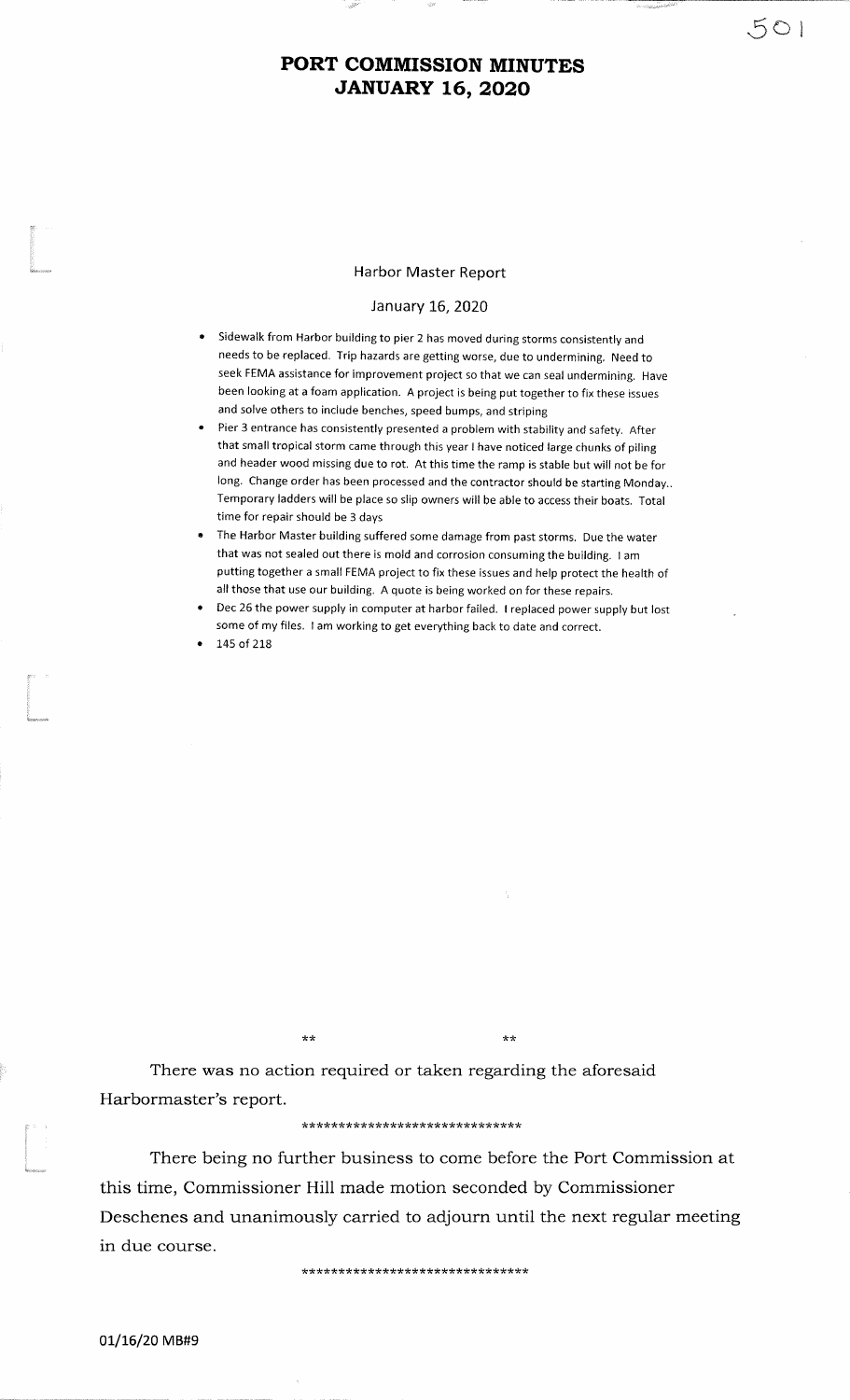## PORT COMMISSION MINUTESJANUARY L6,2O2O

#### Harbor Master Report

#### January L6,2020

- aSidewalk from Harbor building to pier 2 has moved during storms consistently and needs to be replaced. Trip hazards are getting worse, due to undermining. Need to seek FEMA assistance for improvement project so that we can seal undermining. Havebeen looking at a foam application. A project is being put together to fix these issuesand solve others to include benches, speed bumps, and striping
- Pier 3 entrance has consistently presented a problem with stability and safety. After that small tropical storm came through this year I have noticed large chunks of piling and header wood missing due to rot. At this time the ramp is stable but will not be for long. change order has been processed and the contractor should be starting Monday.. Temporary ladders will be place so slip owners will be able to access their boats. Totaltime for repair should be 3 daysa
- The Harbor Master building suffered some damage from past storms. Due the waterthat was not sealed out there is mold and corrosion consuming the building. <sup>I</sup>am putting together a small FEMA project to fix these issues and help protect the health ofall those that use our building. A quote is being worked on for these repairs.
- Dec 26 the power supply in computer at harbor failed. I replaced power supply but lostsome of my files. <sup>I</sup>am working to get everything back to date and correct.a

145 of 218 a

There was no action required or taken regarding the aforesaidHarbormaster's report.

?t'rr

#### \*\*\*\*\*\*\*\*\*\*\*\*\*\*\*\*\*\*\*\*\*\*\*\*\*\*\*\*\*\*

tr transfer to the control of the control of the control of the control of the control of the control of the control of the control of the control of the control of the control of the control of the control of the control

There being no further business to come before the Port Commission atthis time, Commissioner Hill made motion seconded by CommissionerDeschenes and unanimously carried to adjourn until the next regular meetingin due course.

\*\*\*\*\*\*\*\*\*\*\*\*\*\*\*\*\*\*\*\*\*\*\*\*\*\*\*\*\*\*\*

01/16/20 MB#9